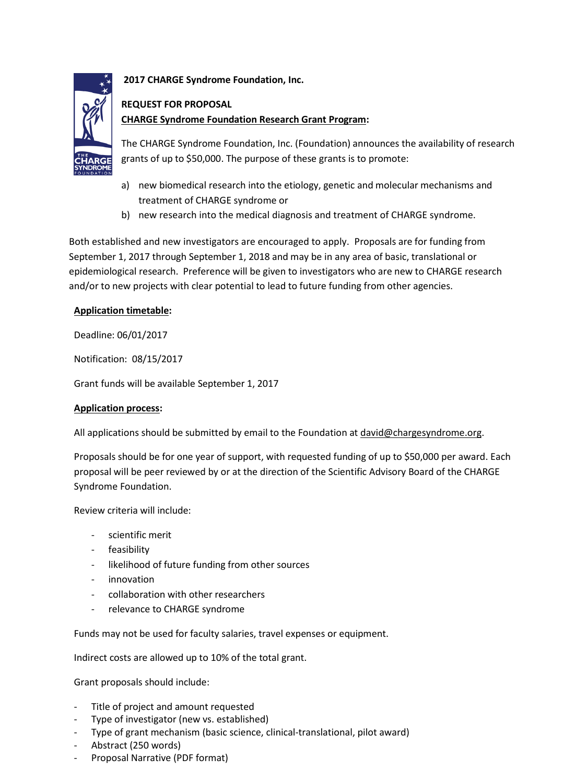

**2017 CHARGE Syndrome Foundation, Inc.**

## **REQUEST FOR PROPOSAL CHARGE Syndrome Foundation Research Grant Program:**

The CHARGE Syndrome Foundation, Inc. (Foundation) announces the availability of research grants of up to \$50,000. The purpose of these grants is to promote:

- a) new biomedical research into the etiology, genetic and molecular mechanisms and treatment of CHARGE syndrome or
- b) new research into the medical diagnosis and treatment of CHARGE syndrome.

Both established and new investigators are encouraged to apply. Proposals are for funding from September 1, 2017 through September 1, 2018 and may be in any area of basic, translational or epidemiological research. Preference will be given to investigators who are new to CHARGE research and/or to new projects with clear potential to lead to future funding from other agencies.

## **Application timetable:**

Deadline: 06/01/2017

Notification: 08/15/2017

Grant funds will be available September 1, 2017

## **Application process:**

All applications should be submitted by email to the Foundation at [david@chargesyndrome.org.](mailto:david@chargesyndrome.org)

Proposals should be for one year of support, with requested funding of up to \$50,000 per award. Each proposal will be peer reviewed by or at the direction of the Scientific Advisory Board of the CHARGE Syndrome Foundation.

Review criteria will include:

- scientific merit
- feasibility
- likelihood of future funding from other sources
- innovation
- collaboration with other researchers
- relevance to CHARGE syndrome

Funds may not be used for faculty salaries, travel expenses or equipment.

Indirect costs are allowed up to 10% of the total grant.

Grant proposals should include:

- Title of project and amount requested
- Type of investigator (new vs. established)
- Type of grant mechanism (basic science, clinical-translational, pilot award)
- Abstract (250 words)
- Proposal Narrative (PDF format)